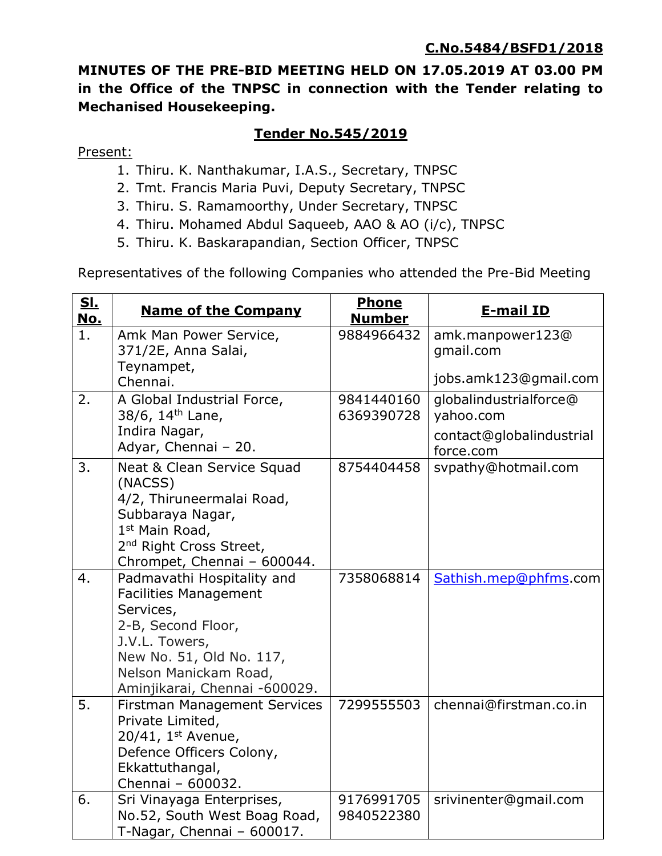**MINUTES OF THE PRE-BID MEETING HELD ON 17.05.2019 AT 03.00 PM in the Office of the TNPSC in connection with the Tender relating to Mechanised Housekeeping.**

## **Tender No.545/2019**

Present:

- 1. Thiru. K. Nanthakumar, I.A.S., Secretary, TNPSC
- 2. Tmt. Francis Maria Puvi, Deputy Secretary, TNPSC
- 3. Thiru. S. Ramamoorthy, Under Secretary, TNPSC
- 4. Thiru. Mohamed Abdul Saqueeb, AAO & AO (i/c), TNPSC
- 5. Thiru. K. Baskarapandian, Section Officer, TNPSC

Representatives of the following Companies who attended the Pre-Bid Meeting

| <u>SI.</u><br><u>No.</u> | <b>Name of the Company</b>                                                                                                                                                                            | Phone<br><b>Number</b>   | <b>E-mail ID</b>                      |
|--------------------------|-------------------------------------------------------------------------------------------------------------------------------------------------------------------------------------------------------|--------------------------|---------------------------------------|
| 1.                       | Amk Man Power Service,<br>371/2E, Anna Salai,<br>Teynampet,                                                                                                                                           | 9884966432               | amk.manpower123@<br>gmail.com         |
|                          | Chennai.                                                                                                                                                                                              |                          | jobs.amk123@gmail.com                 |
| 2.                       | A Global Industrial Force,                                                                                                                                                                            | 9841440160               | globalindustrialforce@                |
|                          | 38/6, 14 <sup>th</sup> Lane,<br>Indira Nagar,                                                                                                                                                         | 6369390728               | yahoo.com<br>contact@globalindustrial |
|                          | Adyar, Chennai - 20.                                                                                                                                                                                  |                          | force.com                             |
| 3.                       | Neat & Clean Service Squad<br>(NACSS)<br>4/2, Thiruneermalai Road,<br>Subbaraya Nagar,<br>1st Main Road,<br>2 <sup>nd</sup> Right Cross Street,<br>Chrompet, Chennai - 600044.                        | 8754404458               | svpathy@hotmail.com                   |
| 4.                       | Padmavathi Hospitality and<br><b>Facilities Management</b><br>Services,<br>2-B, Second Floor,<br>J.V.L. Towers,<br>New No. 51, Old No. 117,<br>Nelson Manickam Road,<br>Aminjikarai, Chennai -600029. | 7358068814               | Sathish.mep@phfms.com                 |
| 5.                       | <b>Firstman Management Services</b><br>Private Limited,<br>20/41, $1st$ Avenue,<br>Defence Officers Colony,<br>Ekkattuthangal,<br>Chennai - 600032.                                                   | 7299555503               | chennai@firstman.co.in                |
| 6.                       | Sri Vinayaga Enterprises,<br>No.52, South West Boag Road,<br>T-Nagar, Chennai - 600017.                                                                                                               | 9176991705<br>9840522380 | srivinenter@gmail.com                 |